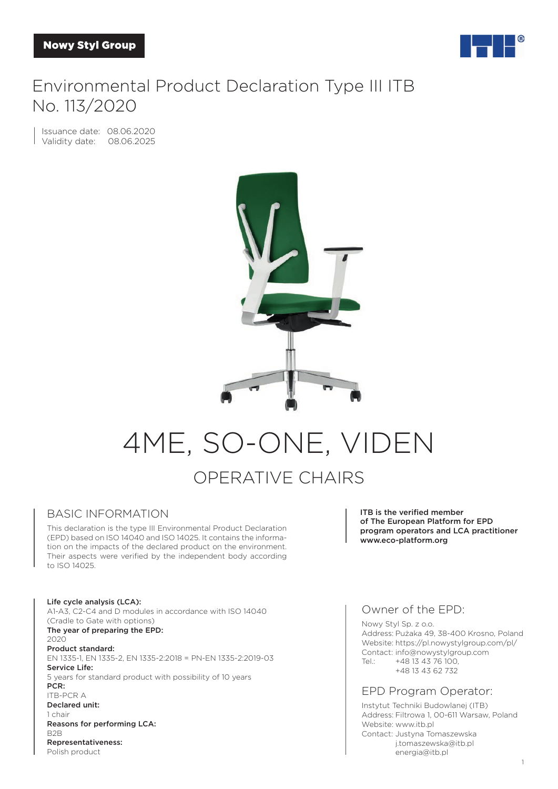

# Environmental Product Declaration Type III ITB No. 113/2020

Issuance date: 08.06.2020 Validity date: 08.06.2025



# 4ME, SO-ONE, VIDEN OPERATIVE CHAIRS

#### BASIC INFORMATION

This declaration is the type III Environmental Product Declaration (EPD) based on ISO 14040 and ISO 14025. It contains the information on the impacts of the declared product on the environment. Their aspects were verified by the independent body according to ISO 14025.

Life cycle analysis (LCA): A1-A3, C2-C4 and D modules in accordance with ISO 14040 (Cradle to Gate with options) The year of preparing the EPD: 2020 Product standard: EN 1335-1, EN 1335-2, EN 1335-2:2018 = PN-EN 1335-2:2019-03 Service Life: 5 years for standard product with possibility of 10 years PCR: ITB-PCR A Declared unit: 1 chair Reasons for performing LCA: B2B Representativeness: Polish product

ITB is the verified member of The European Platform for EPD program operators and LCA practitioner www.eco-platform.org

### Owner of the EPD:

Nowy Styl Sp. z o.o. Address: Pużaka 49, 38-400 Krosno, Poland Website: https://pl.nowystylgroup.com/pl/ Contact: info@nowystylgroup.com Tel.: +48 13 43 76 100, +48 13 43 62 732

#### EPD Program Operator:

Instytut Techniki Budowlanej (ITB) Address: Filtrowa 1, 00-611 Warsaw, Poland Website: www.itb.pl Contact: Justyna Tomaszewska j.tomaszewska@itb.pl energia@itb.pl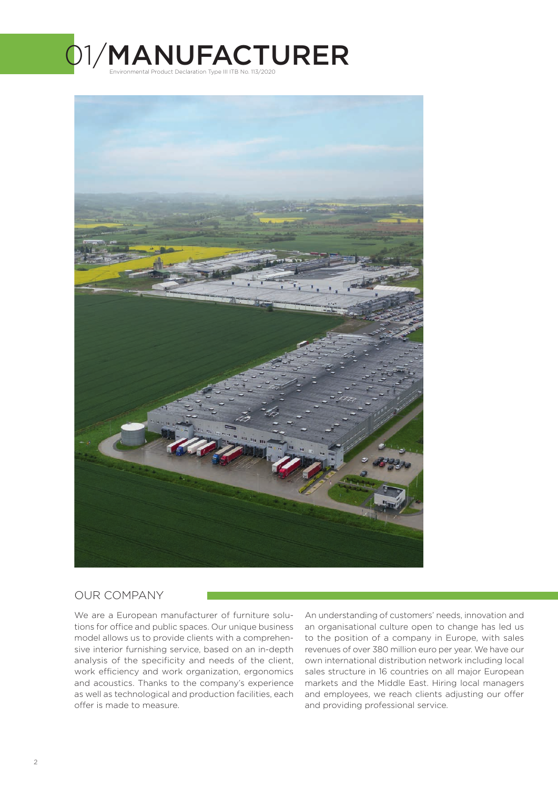



### OUR COMPANY

We are a European manufacturer of furniture solutions for office and public spaces. Our unique business model allows us to provide clients with a comprehensive interior furnishing service, based on an in-depth analysis of the specificity and needs of the client, work efficiency and work organization, ergonomics and acoustics. Thanks to the company's experience as well as technological and production facilities, each offer is made to measure.

An understanding of customers' needs, innovation and an organisational culture open to change has led us to the position of a company in Europe, with sales revenues of over 380 million euro per year. We have our own international distribution network including local sales structure in 16 countries on all major European markets and the Middle East. Hiring local managers and employees, we reach clients adjusting our offer and providing professional service.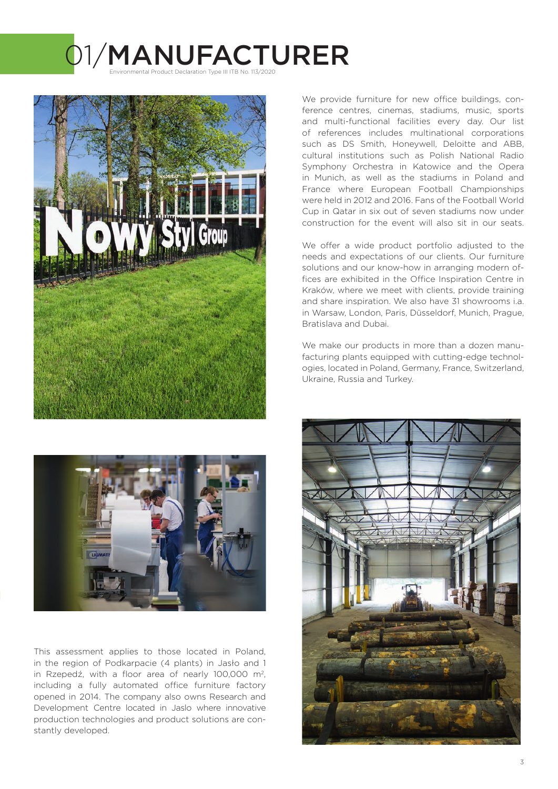# 1/MANUFACTURER Environmental Product Declaration Type III ITB No. 113/2020





This assessment applies to those located in Poland, in the region of Podkarpacie (4 plants) in Jasło and 1 in Rzepedź, with a floor area of nearly 100,000 m<sup>2</sup>, including a fully automated office furniture factory opened in 2014. The company also owns Research and Development Centre located in Jaslo where innovative production technologies and product solutions are constantly developed.

We provide furniture for new office buildings, conference centres, cinemas, stadiums, music, sports and multi-functional facilities every day. Our list of references includes multinational corporations such as DS Smith, Honeywell, Deloitte and ABB, cultural institutions such as Polish National Radio Symphony Orchestra in Katowice and the Opera in Munich, as well as the stadiums in Poland and France where European Football Championships were held in 2012 and 2016. Fans of the Football World Cup in Qatar in six out of seven stadiums now under construction for the event will also sit in our seats.

We offer a wide product portfolio adjusted to the needs and expectations of our clients. Our furniture solutions and our know-how in arranging modern offices are exhibited in the Office Inspiration Centre in Kraków, where we meet with clients, provide training and share inspiration. We also have 31 showrooms i.a. in Warsaw, London, Paris, Düsseldorf, Munich, Prague, Bratislava and Dubai.

We make our products in more than a dozen manufacturing plants equipped with cutting-edge technologies, located in Poland, Germany, France, Switzerland, Ukraine, Russia and Turkey.

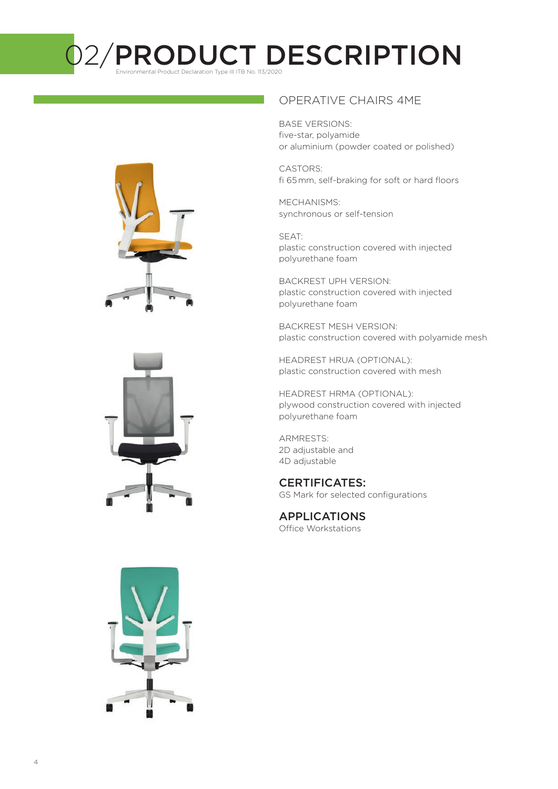# O2/PRODUCT DESCRIPTION







### OPERATIVE CHAIRS 4ME

BASE VERSIONS: five-star, polyamide or aluminium (powder coated or polished)

CASTORS: fi 65 mm, self-braking for soft or hard floors

MECHANISMS: synchronous or self-tension

SEAT: plastic construction covered with injected polyurethane foam

BACKREST UPH VERSION: plastic construction covered with injected polyurethane foam

BACKREST MESH VERSION: plastic construction covered with polyamide mesh

HEADREST HRUA (OPTIONAL): plastic construction covered with mesh

HEADREST HRMA (OPTIONAL): plywood construction covered with injected polyurethane foam

ARMRESTS: 2D adjustable and 4D adjustable

### CERTIFICATES:

GS Mark for selected configurations

# APPLICATIONS

Office Workstations

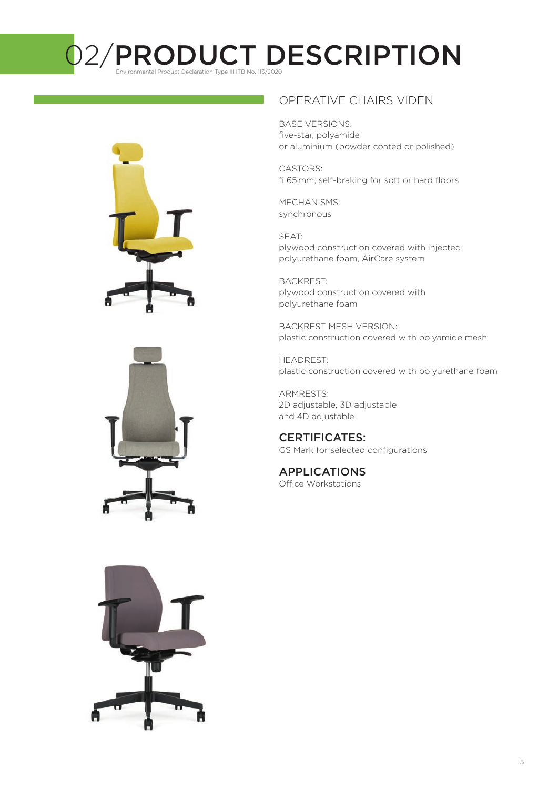# O2/PRODUCT DESCRIPTION







## OPERATIVE CHAIRS VIDEN

BASE VERSIONS: five-star, polyamide or aluminium (powder coated or polished)

CASTORS: fi 65 mm, self-braking for soft or hard floors

MECHANISMS: synchronous

SEAT: plywood construction covered with injected polyurethane foam, AirCare system

BACKREST: plywood construction covered with polyurethane foam

BACKREST MESH VERSION: plastic construction covered with polyamide mesh

HEADREST: plastic construction covered with polyurethane foam

ARMRESTS: 2D adjustable, 3D adjustable and 4D adjustable

### CERTIFICATES:

GS Mark for selected configurations

## APPLICATIONS

Office Workstations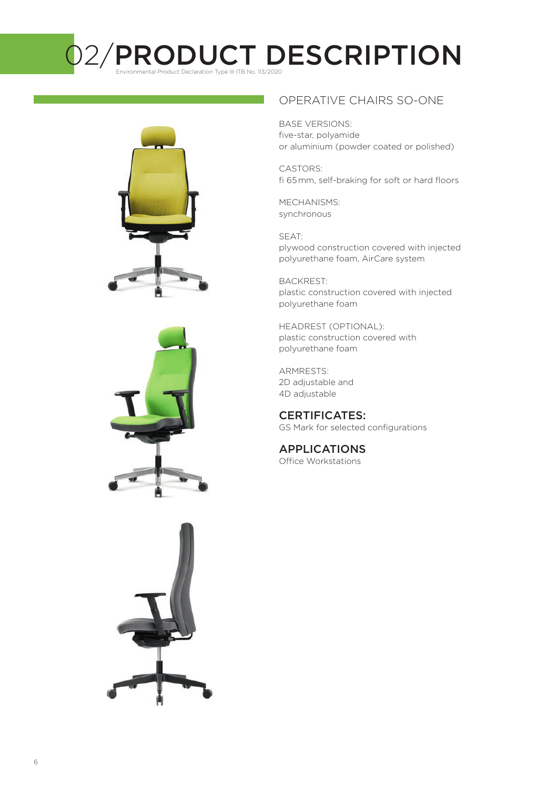# O2/PRODUCT DESCRIPTION







### OPERATIVE CHAIRS SO-ONE

BASE VERSIONS: five-star, polyamide or aluminium (powder coated or polished)

CASTORS: fi 65 mm, self-braking for soft or hard floors

MECHANISMS: synchronous

SEAT: plywood construction covered with injected polyurethane foam, AirCare system

BACKREST: plastic construction covered with injected polyurethane foam

HEADREST (OPTIONAL): plastic construction covered with polyurethane foam

ARMRESTS: 2D adjustable and 4D adjustable

CERTIFICATES: GS Mark for selected configurations

APPLICATIONS Office Workstations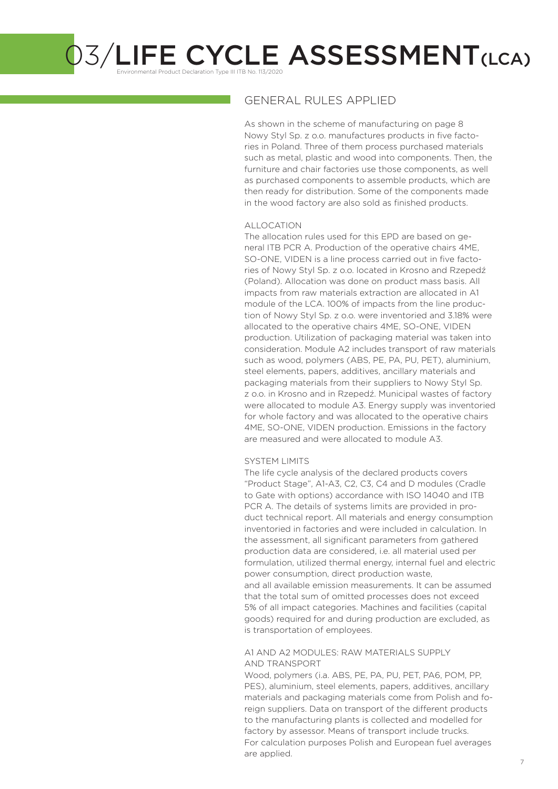Environmental Product Declaration Type III ITB No. 113/2020

### GENERAL RULES APPLIED

As shown in the scheme of manufacturing on page 8 Nowy Styl Sp. z o.o. manufactures products in five factories in Poland. Three of them process purchased materials such as metal, plastic and wood into components. Then, the furniture and chair factories use those components, as well as purchased components to assemble products, which are then ready for distribution. Some of the components made in the wood factory are also sold as finished products.

#### ALLOCATION

The allocation rules used for this EPD are based on general ITB PCR A. Production of the operative chairs 4ME, SO-ONE, VIDEN is a line process carried out in five factories of Nowy Styl Sp. z o.o. located in Krosno and Rzepedź (Poland). Allocation was done on product mass basis. All impacts from raw materials extraction are allocated in A1 module of the LCA. 100% of impacts from the line production of Nowy Styl Sp. z o.o. were inventoried and 3.18% were allocated to the operative chairs 4ME, SO-ONE, VIDEN production. Utilization of packaging material was taken into consideration. Module A2 includes transport of raw materials such as wood, polymers (ABS, PE, PA, PU, PET), aluminium, steel elements, papers, additives, ancillary materials and packaging materials from their suppliers to Nowy Styl Sp. z o.o. in Krosno and in Rzepedź. Municipal wastes of factory were allocated to module A3. Energy supply was inventoried for whole factory and was allocated to the operative chairs 4ME, SO-ONE, VIDEN production. Emissions in the factory are measured and were allocated to module A3.

#### SYSTEM LIMITS

The life cycle analysis of the declared products covers "Product Stage", A1-A3, C2, C3, C4 and D modules (Cradle to Gate with options) accordance with ISO 14040 and ITB PCR A. The details of systems limits are provided in product technical report. All materials and energy consumption inventoried in factories and were included in calculation. In the assessment, all significant parameters from gathered production data are considered, i.e. all material used per formulation, utilized thermal energy, internal fuel and electric power consumption, direct production waste, and all available emission measurements. It can be assumed that the total sum of omitted processes does not exceed 5% of all impact categories. Machines and facilities (capital goods) required for and during production are excluded, as is transportation of employees.

#### A1 AND A2 MODULES: RAW MATERIALS SUPPLY AND TRANSPORT

Wood, polymers (i.a. ABS, PE, PA, PU, PET, PA6, POM, PP, PES), aluminium, steel elements, papers, additives, ancillary materials and packaging materials come from Polish and foreign suppliers. Data on transport of the different products to the manufacturing plants is collected and modelled for factory by assessor. Means of transport include trucks. For calculation purposes Polish and European fuel averages are applied.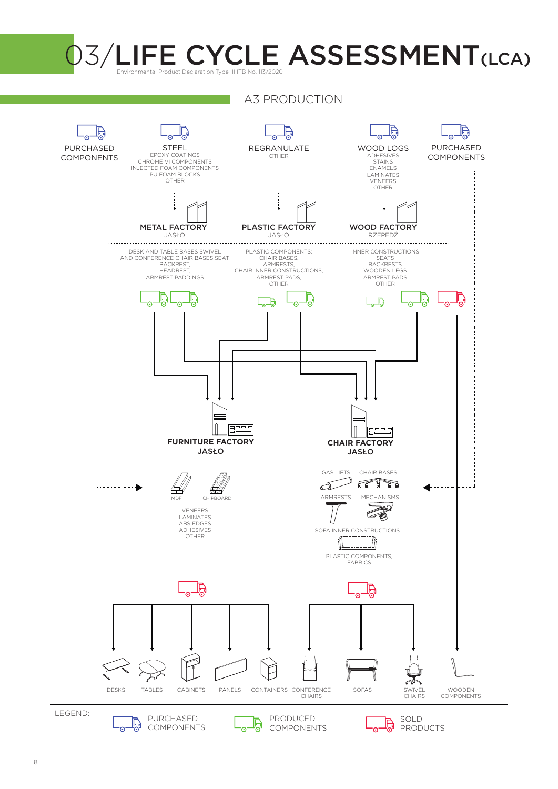

A3 PRODUCTION

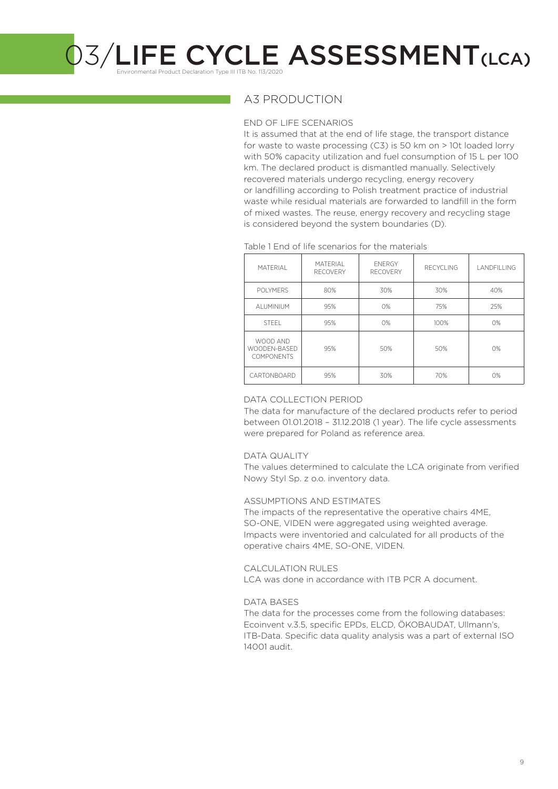Environmental Product Declaration Type III ITB No. 113/2020

### A3 PRODUCTION

#### END OF LIFE SCENARIOS

It is assumed that at the end of life stage, the transport distance for waste to waste processing (C3) is 50 km on > 10t loaded lorry with 50% capacity utilization and fuel consumption of 15 L per 100 km. The declared product is dismantled manually. Selectively recovered materials undergo recycling, energy recovery or landfilling according to Polish treatment practice of industrial waste while residual materials are forwarded to landfill in the form of mixed wastes. The reuse, energy recovery and recycling stage is considered beyond the system boundaries (D).

#### Table 1 End of life scenarios for the materials

| <b>MATFRIAL</b>                               | <b>MATFRIAL</b><br><b>RECOVERY</b> | <b>FNFRGY</b><br><b>RECOVERY</b> | RECYCLING | <b>I ANDEILING</b> |
|-----------------------------------------------|------------------------------------|----------------------------------|-----------|--------------------|
| <b>POLYMERS</b>                               | 80%                                | 30%                              | 30%       | 40%                |
| AI UMINIUM                                    | 95%                                | O%                               | 75%       | 25%                |
| <b>STEEL</b>                                  | 95%                                | O%                               | 100%      | 0%                 |
| WOOD AND<br>WOODEN-BASED<br><b>COMPONENTS</b> | 95%                                | 50%                              | 50%       | O%                 |
| CARTONBOARD                                   | 95%                                | 30%                              | 70%       | 0%                 |

#### DATA COLLECTION PERIOD

The data for manufacture of the declared products refer to period between 01.01.2018 – 31.12.2018 (1 year). The life cycle assessments were prepared for Poland as reference area.

#### DATA QUALITY

The values determined to calculate the LCA originate from verified Nowy Styl Sp. z o.o. inventory data.

#### ASSUMPTIONS AND ESTIMATES

The impacts of the representative the operative chairs 4ME, SO-ONE, VIDEN were aggregated using weighted average. Impacts were inventoried and calculated for all products of the operative chairs 4ME, SO-ONE, VIDEN.

#### CALCULATION RULES

LCA was done in accordance with ITB PCR A document.

#### DATA BASES

The data for the processes come from the following databases: Ecoinvent v.3.5, specific EPDs, ELCD, ÖKOBAUDAT, Ullmann's, ITB-Data. Specific data quality analysis was a part of external ISO 14001 audit.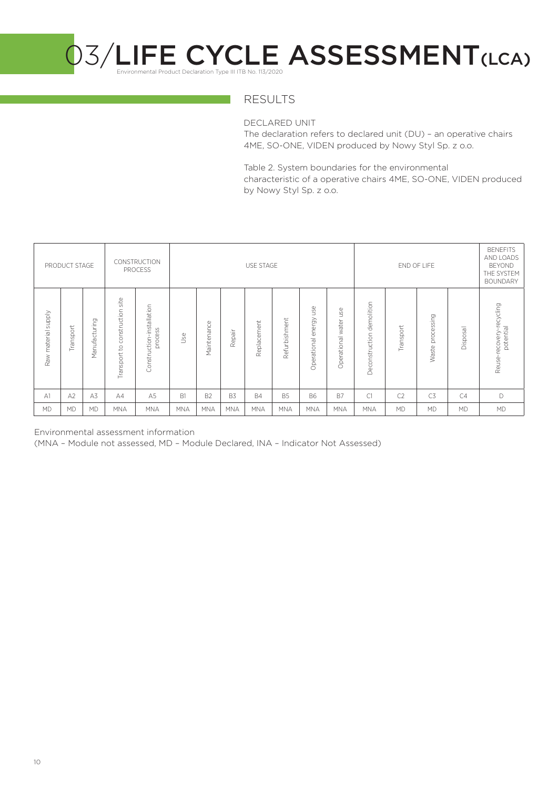

### RESULTS

DECLARED UNIT

The declaration refers to declared unit (DU) – an operative chairs 4ME, SO-ONE, VIDEN produced by Nowy Styl Sp. z o.o.

Table 2. System boundaries for the environmental characteristic of a operative chairs 4ME, SO-ONE, VIDEN produced by Nowy Styl Sp. z o.o.

|                               | PRODUCT STAGE |               |                                                            | CONSTRUCTION<br>PROCESS              |             |                |            | <b>USE STAGE</b> |               |                              |                             |                              |                | END OF LIFE         |           | <b>BENEFITS</b><br>AND LOADS<br><b>BEYOND</b><br>THE SYSTEM<br><b>BOUNDARY</b> |
|-------------------------------|---------------|---------------|------------------------------------------------------------|--------------------------------------|-------------|----------------|------------|------------------|---------------|------------------------------|-----------------------------|------------------------------|----------------|---------------------|-----------|--------------------------------------------------------------------------------|
| <b>Alddns</b><br>Raw material | Transport     | Manufacturing | site<br>onstruction<br>$\cup$<br>$\mathsf{S}$<br>Transport | Construction-installation<br>process | <b>J</b> se | Maintenance    | Repair     | Replacement      | Refurbishment | use<br>energy<br>Operational | use<br>water<br>Operational | demolition<br>Deconstruction | Transport      | processing<br>Waste | Disposal  | Reuse-recovery-recycling<br>potential                                          |
| A <sub>1</sub>                | A2            | A3            | AA                                                         | A <sub>5</sub>                       | B1          | B <sub>2</sub> | B3         | <b>B4</b>        | <b>B5</b>     | <b>B6</b>                    | <b>B7</b>                   | C1                           | C <sub>2</sub> | C <sub>3</sub>      | C4        | D                                                                              |
| <b>MD</b>                     | <b>MD</b>     | <b>MD</b>     | <b>MNA</b>                                                 | <b>MNA</b>                           | <b>MNA</b>  | <b>MNA</b>     | <b>MNA</b> | <b>MNA</b>       | <b>MNA</b>    | <b>MNA</b>                   | <b>MNA</b>                  | <b>MNA</b>                   | <b>MD</b>      | <b>MD</b>           | <b>MD</b> | MD                                                                             |

Environmental assessment information

(MNA – Module not assessed, MD – Module Declared, INA – Indicator Not Assessed)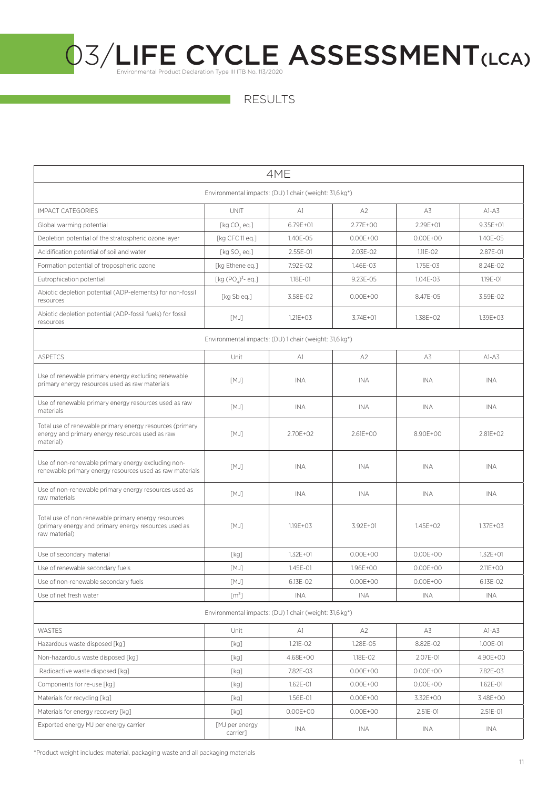RESULTS

|                                                                                                                              | 4ME                                                    |               |                |              |              |  |  |
|------------------------------------------------------------------------------------------------------------------------------|--------------------------------------------------------|---------------|----------------|--------------|--------------|--|--|
| Environmental impacts: (DU) 1 chair (weight: 31,6 kg*)                                                                       |                                                        |               |                |              |              |  |  |
| <b>IMPACT CATEGORIES</b>                                                                                                     | <b>UNIT</b>                                            | A1            | A2             | A3           | $AI-A3$      |  |  |
| Global warming potential                                                                                                     | [ $kg CO, eq.]$                                        | $6.79E + 01$  | 2.77E+00       | $2.29E + 01$ | $9.35E + 01$ |  |  |
| Depletion potential of the stratospheric ozone layer                                                                         | [kg CFC 11 eq.]                                        | 1.40E-05      | $0.00E + 00$   | $0.00E + 00$ | 1.40E-05     |  |  |
| Acidification potential of soil and water                                                                                    | [ $kg$ SO <sub>2</sub> eq.]                            | 2.55E-01      | 2.03E-02       | $1.11E - 02$ | 2.87E-01     |  |  |
| Formation potential of tropospheric ozone                                                                                    | [kg Ethene eq.]                                        | 7.92E-02      | 1.46E-03       | 1.75E-03     | 8.24E-02     |  |  |
| Eutrophication potential                                                                                                     | [kg $(POA)3$ - eq.]                                    | 1.18E-01      | 9.23E-05       | 1.04E-03     | 1.19E-01     |  |  |
| Abiotic depletion potential (ADP-elements) for non-fossil<br>resources                                                       | [kg Sb eq.]                                            | 3.58E-02      | $0.00E + 00$   | 8.47E-05     | 3.59E-02     |  |  |
| Abiotic depletion potential (ADP-fossil fuels) for fossil<br>resources                                                       | [MJ]                                                   | $1.21E + 03$  | 3.74E+01       | 1.38E+02     | 1.39E+03     |  |  |
|                                                                                                                              | Environmental impacts: (DU) 1 chair (weight: 31,6 kg*) |               |                |              |              |  |  |
| <b>ASPETCS</b>                                                                                                               | Unit                                                   | A1            | A <sub>2</sub> | A3           | $A1-A3$      |  |  |
| Use of renewable primary energy excluding renewable<br>primary energy resources used as raw materials                        | [MJ]                                                   | INA           | <b>INA</b>     | INA          | INA.         |  |  |
| Use of renewable primary energy resources used as raw<br>materials                                                           | [MJ]                                                   | INA           | INA            | INA          | INA          |  |  |
| Total use of renewable primary energy resources (primary<br>energy and primary energy resources used as raw<br>material)     | [MJ]                                                   | 2.70E+02      | $2.61E + 00$   | 8.90E+00     | 2.81E+02     |  |  |
| Use of non-renewable primary energy excluding non-<br>renewable primary energy resources used as raw materials               | [MJ]                                                   | INA           | <b>INA</b>     | INA          | <b>INA</b>   |  |  |
| Use of non-renewable primary energy resources used as<br>raw materials                                                       | [MJ]                                                   | <b>INA</b>    | <b>INA</b>     | <b>INA</b>   | <b>INA</b>   |  |  |
| Total use of non renewable primary energy resources<br>(primary energy and primary energy resources used as<br>raw material) | [MJ]                                                   | $1.19E + 0.3$ | 3.92E+01       | $1.45E + 02$ | $1.37E + 03$ |  |  |
| Use of secondary material                                                                                                    | [kg]                                                   | $1.32E + 01$  | $0.00E + 00$   | $0.00E + 00$ | $1.32E + 01$ |  |  |
| Use of renewable secondary fuels                                                                                             | [MJ]                                                   | 1.45E-01      | 1.96E+00       | $0.00E + 00$ | $2.11E + 00$ |  |  |
| Use of non-renewable secondary fuels                                                                                         | [MJ]                                                   | 6.13F-02      | $0.00E + 00$   | $0.00E + 00$ | 6.13E-02     |  |  |
| Use of net fresh water                                                                                                       | [m <sup>3</sup> ]                                      | INA           | INA            | INA          | INA.         |  |  |
| Environmental impacts: (DU) 1 chair (weight: 31,6 kg*)                                                                       |                                                        |               |                |              |              |  |  |
| <b>WASTES</b>                                                                                                                | Unit                                                   | A1            | A2             | A3           | $AI-A3$      |  |  |
| Hazardous waste disposed [kq]                                                                                                | [kg]                                                   | 1.21E-02      | 1.28E-05       | 8.82E-02     | 1.00E-01     |  |  |
| Non-hazardous waste disposed [kg]                                                                                            | [kg]                                                   | 4.68E+00      | 1.18E-02       | 2.07E-01     | 4.90E+00     |  |  |
| Radioactive waste disposed [kg]                                                                                              | [kg]                                                   | 7.82E-03      | $0.00E + 00$   | $0.00E + 00$ | 7.82E-03     |  |  |
| Components for re-use [kg]                                                                                                   | [kg]                                                   | $1.62E - 01$  | $0.00E + 00$   | $0.00E + 00$ | 1.62E-01     |  |  |
| Materials for recycling [kg]                                                                                                 | [kg]                                                   | 1.56E-01      | $0.00E + 00$   | 3.32E+00     | 3.48E+00     |  |  |
| Materials for energy recovery [kg]                                                                                           | [kg]                                                   | $0.00E + 00$  | $0.00E + 00$   | 2.51E-01     | 2.51E-01     |  |  |
| Exported energy MJ per energy carrier                                                                                        | [MJ per energy<br>carrier]                             | INA           | INA            | INA          | INA          |  |  |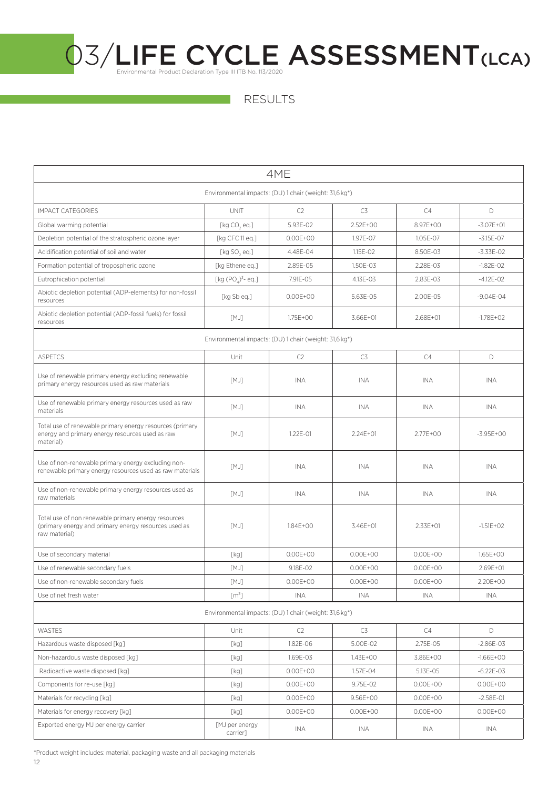RESULTS

| 4ME                                                                                                                          |                                                        |              |                |              |               |  |  |
|------------------------------------------------------------------------------------------------------------------------------|--------------------------------------------------------|--------------|----------------|--------------|---------------|--|--|
| Environmental impacts: (DU) 1 chair (weight: 31,6 kg*)                                                                       |                                                        |              |                |              |               |  |  |
| <b>IMPACT CATEGORIES</b>                                                                                                     | <b>UNIT</b>                                            | C2           | C <sub>3</sub> | C4           | $\mathsf{D}$  |  |  |
| Global warming potential                                                                                                     | [kg CO, eq.]                                           | 5.93E-02     | 2.52E+00       | 8.97E+00     | $-3.07E + 01$ |  |  |
| Depletion potential of the stratospheric ozone layer                                                                         | [kg CFC 11 eq.]                                        | $0.00E + 00$ | 1.97E-07       | 1.05E-07     | $-3.15E - 07$ |  |  |
| Acidification potential of soil and water                                                                                    | [ $kg$ SO, eq.]                                        | 4.48E-04     | 1.15E-02       | 8.50E-03     | $-3.33E - 02$ |  |  |
| Formation potential of tropospheric ozone                                                                                    | [kg Ethene eq.]                                        | 2.89E-05     | 1.50E-03       | 2.28E-03     | $-1.82E - 02$ |  |  |
| Eutrophication potential                                                                                                     | [kg $(POA)3$ - eq.]                                    | 7.91E-05     | 4.13E-03       | 2.83E-03     | $-4.12E - 02$ |  |  |
| Abiotic depletion potential (ADP-elements) for non-fossil<br>resources                                                       | [kg Sb eq.]                                            | $0.00E + 00$ | 5.63E-05       | 2.00E-05     | $-9.04E - 04$ |  |  |
| Abiotic depletion potential (ADP-fossil fuels) for fossil<br>resources                                                       | [MJ]                                                   | 1.75E+00     | 3.66E+01       | $2.68E + 01$ | $-1.78E + 02$ |  |  |
|                                                                                                                              | Environmental impacts: (DU) 1 chair (weight: 31,6 kg*) |              |                |              |               |  |  |
| <b>ASPETCS</b>                                                                                                               | Unit                                                   | C2           | C3             | C4           | D             |  |  |
| Use of renewable primary energy excluding renewable<br>primary energy resources used as raw materials                        | [MJ]                                                   | <b>INA</b>   | <b>INA</b>     | <b>INA</b>   | <b>INA</b>    |  |  |
| Use of renewable primary energy resources used as raw<br>materials                                                           | [MJ]                                                   | <b>INA</b>   | <b>INA</b>     | INA          | INA.          |  |  |
| Total use of renewable primary energy resources (primary<br>energy and primary energy resources used as raw<br>material)     | [MJ]                                                   | 1.22E-01     | 2.24E+01       | 2.77E+00     | $-3.95E + 00$ |  |  |
| Use of non-renewable primary energy excluding non-<br>renewable primary energy resources used as raw materials               | [MJ]                                                   | <b>INA</b>   | INA            | INA          | INA           |  |  |
| Use of non-renewable primary energy resources used as<br>raw materials                                                       | [MJ]                                                   | <b>INA</b>   | INA            | <b>INA</b>   | INA           |  |  |
| Total use of non renewable primary energy resources<br>(primary energy and primary energy resources used as<br>raw material) | [MJ]                                                   | 1.84E+00     | 3.46E+01       | $2.33E + 01$ | $-1.51E + 02$ |  |  |
| Use of secondary material                                                                                                    | [kg]                                                   | $0.00E + 00$ | $0.00E + 00$   | $0.00E + 00$ | $1.65E + 00$  |  |  |
| Use of renewable secondary fuels                                                                                             | [MJ]                                                   | 9.18E-02     | $0.00E + 00$   | $0.00E + 00$ | 2.69E+01      |  |  |
| Use of non-renewable secondary fuels                                                                                         | [MJ]                                                   | $0.00E + 00$ | $0.00E + 00$   | $0.00E + 00$ | 2.20E+00      |  |  |
| Use of net fresh water                                                                                                       | $[m^3]$                                                | INA          | INA            | INA          | INA           |  |  |
| Environmental impacts: (DU) 1 chair (weight: 31,6 kg*)                                                                       |                                                        |              |                |              |               |  |  |
| WASTES                                                                                                                       | Unit                                                   | C2           | C3             | C4           | D             |  |  |
| Hazardous waste disposed [kg]                                                                                                | [kg]                                                   | 1.82E-06     | 5.00E-02       | 2.75E-05     | $-2.86E - 03$ |  |  |
| Non-hazardous waste disposed [kg]                                                                                            | [kg]                                                   | 1.69E-03     | 1.43E+00       | 3.86E+00     | $-1.66E + 00$ |  |  |
| Radioactive waste disposed [kq]                                                                                              | [kg]                                                   | $0.00E + 00$ | 1.57E-04       | 5.13E-05     | $-6.22E - 03$ |  |  |
| Components for re-use [kg]                                                                                                   | [kg]                                                   | $0.00E + 00$ | 9.75E-02       | $0.00E + 00$ | $0.00E + 00$  |  |  |
| Materials for recycling [kg]                                                                                                 | [kg]                                                   | $0.00E + 00$ | 9.56E+00       | $0.00E + 00$ | $-2.58E - 01$ |  |  |
| Materials for energy recovery [kg]                                                                                           | [kg]                                                   | $0.00E + 00$ | $0.00E + 00$   | $0.00E + 00$ | $0.00E + 00$  |  |  |
| Exported energy MJ per energy carrier                                                                                        | [MJ per energy<br>carrier]                             | INA          | INA            | INA          | INA           |  |  |

\*Product weight includes: material, packaging waste and all packaging materials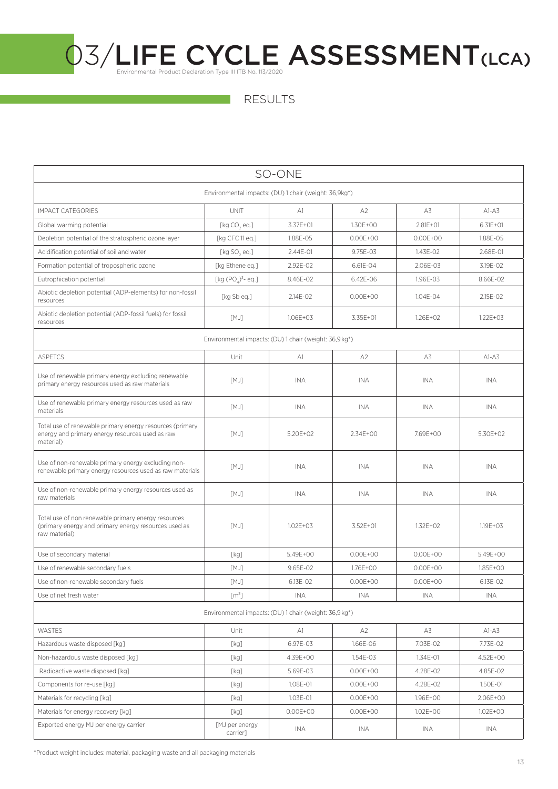RESULTS

| SO-ONE                                                                                                                       |                                                        |              |                |              |              |  |  |
|------------------------------------------------------------------------------------------------------------------------------|--------------------------------------------------------|--------------|----------------|--------------|--------------|--|--|
| Environmental impacts: (DU) 1 chair (weight: 36,9kg*)                                                                        |                                                        |              |                |              |              |  |  |
| <b>IMPACT CATEGORIES</b>                                                                                                     | <b>UNIT</b>                                            | A1           | A <sub>2</sub> | A3           | $A1-A3$      |  |  |
| Global warming potential                                                                                                     | [kg CO, eq.]                                           | 3.37E+01     | 1.30E+00       | $2.81E + 01$ | $6.31E + 01$ |  |  |
| Depletion potential of the stratospheric ozone layer                                                                         | [kg CFC 11 eq.]                                        | 1.88E-05     | $0.00E + 00$   | $0.00E + 00$ | 1.88E-05     |  |  |
| Acidification potential of soil and water                                                                                    | [ $kg$ SO, eq.]                                        | 2.44E-01     | 9.75E-03       | 1.43E-02     | 2.68E-01     |  |  |
| Formation potential of tropospheric ozone                                                                                    | [kg Ethene eq.]                                        | 2.92E-02     | 6.61E-04       | 2.06E-03     | 3.19E-02     |  |  |
| Eutrophication potential                                                                                                     | [kg $(PO_2)^3$ - eq.]                                  | 8.46E-02     | 6.42E-06       | 1.96E-03     | 8.66E-02     |  |  |
| Abiotic depletion potential (ADP-elements) for non-fossil<br>resources                                                       | [kg Sb eq.]                                            | 2.14E-02     | $0.00E + 00$   | 1.04E-04     | 2.15E-02     |  |  |
| Abiotic depletion potential (ADP-fossil fuels) for fossil<br>resources                                                       | [MJ]                                                   | 1.06E+03     | 3.35E+01       | $1.26E + 02$ | $1.22E + 03$ |  |  |
|                                                                                                                              | Environmental impacts: (DU) 1 chair (weight: 36,9 kg*) |              |                |              |              |  |  |
| <b>ASPETCS</b>                                                                                                               | Unit                                                   | A1           | A <sub>2</sub> | A3           | $A1-A3$      |  |  |
| Use of renewable primary energy excluding renewable<br>primary energy resources used as raw materials                        | [MJ]                                                   | <b>INA</b>   | <b>INA</b>     | <b>INA</b>   | <b>INA</b>   |  |  |
| Use of renewable primary energy resources used as raw<br>materials                                                           | [MJ]                                                   | <b>INA</b>   | <b>INA</b>     | INA          | <b>INA</b>   |  |  |
| Total use of renewable primary energy resources (primary<br>energy and primary energy resources used as raw<br>material)     | [MJ]                                                   | 5.20E+02     | 2.34E+00       | 7.69E+00     | 5.30E+02     |  |  |
| Use of non-renewable primary energy excluding non-<br>renewable primary energy resources used as raw materials               | [MJ]                                                   | <b>INA</b>   | <b>INA</b>     | <b>INA</b>   | <b>INA</b>   |  |  |
| Use of non-renewable primary energy resources used as<br>raw materials                                                       | [MJ]                                                   | <b>INA</b>   | <b>INA</b>     | INA          | INA          |  |  |
| Total use of non renewable primary energy resources<br>(primary energy and primary energy resources used as<br>raw material) | [MJ]                                                   | $1.02E + 03$ | 3.52E+01       | 1.32E+02     | $1.19E + 03$ |  |  |
| Use of secondary material                                                                                                    | [kg]                                                   | 5.49E+00     | $0.00F + 00$   | $0.00F + 00$ | $5.49F + 00$ |  |  |
| Use of renewable secondary fuels                                                                                             | [MJ]                                                   | 9.65E-02     | 1.76E+00       | $0.00E + 00$ | 1.85E+00     |  |  |
| Use of non-renewable secondary fuels                                                                                         | [MJ]                                                   | 6.13E-02     | $0.00E + 00$   | $0.00E + 00$ | 6.13E-02     |  |  |
| Use of net fresh water                                                                                                       | [m <sup>3</sup> ]                                      | <b>INA</b>   | <b>INA</b>     | <b>INA</b>   | <b>INA</b>   |  |  |
| Environmental impacts: (DU) 1 chair (weight: 36,9 kg*)                                                                       |                                                        |              |                |              |              |  |  |
| <b>WASTES</b>                                                                                                                | Unit                                                   | A1           | A <sub>2</sub> | A3           | $AI-AS$      |  |  |
| Hazardous waste disposed [kg]                                                                                                | [kg]                                                   | 6.97E-03     | 1.66E-06       | 7.03E-02     | 7.73E-02     |  |  |
| Non-hazardous waste disposed [kg]                                                                                            | [kg]                                                   | 4.39E+00     | 1.54E-03       | 1.34E-01     | 4.52E+00     |  |  |
| Radioactive waste disposed [kg]                                                                                              | [kg]                                                   | 5.69E-03     | $0.00E + 00$   | 4.28E-02     | 4.85E-02     |  |  |
| Components for re-use [kg]                                                                                                   | [kg]                                                   | 1.08E-01     | $0.00E + 00$   | 4.28E-02     | 1.50E-01     |  |  |
| Materials for recycling [kg]                                                                                                 | [kg]                                                   | 1.03E-01     | $0.00E + 00$   | 1.96E+00     | 2.06E+00     |  |  |
| Materials for energy recovery [kg]                                                                                           | [kg]                                                   | $0.00E + 00$ | $0.00E + 00$   | 1.02E+00     | 1.02E+00     |  |  |
| Exported energy MJ per energy carrier                                                                                        | [MJ per energy<br>carrier]                             | INA          | INA            | INA          | INA          |  |  |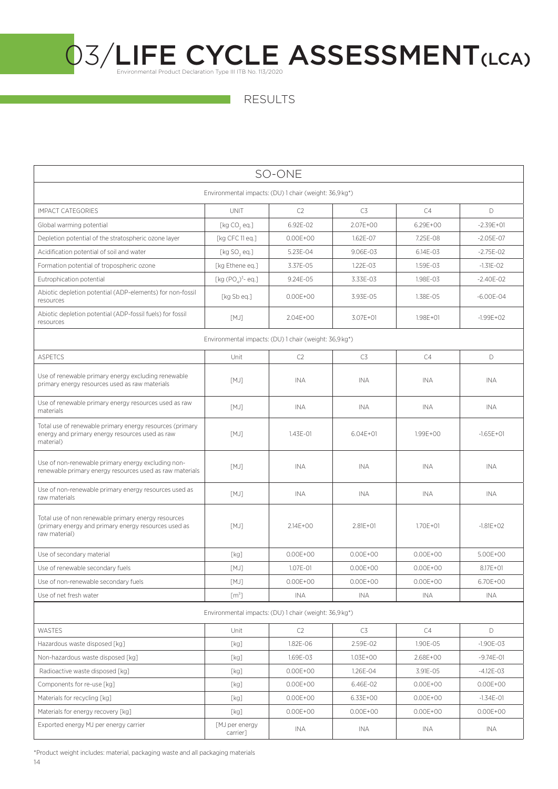RESULTS

| SO-ONE                                                                                                                       |                                                        |              |              |              |               |  |  |
|------------------------------------------------------------------------------------------------------------------------------|--------------------------------------------------------|--------------|--------------|--------------|---------------|--|--|
| Environmental impacts: (DU) 1 chair (weight: 36,9 kg*)                                                                       |                                                        |              |              |              |               |  |  |
| <b>IMPACT CATEGORIES</b>                                                                                                     | <b>UNIT</b>                                            | C2           | C3           | C4           | D             |  |  |
| Global warming potential                                                                                                     | [ $kg CO, eq.]$                                        | 6.92E-02     | $2.07F + 00$ | 6.29E+00     | $-2.39E + 01$ |  |  |
| Depletion potential of the stratospheric ozone layer                                                                         | [kg CFC 11 eq.]                                        | $0.00E + 00$ | 1.62E-07     | 7.25E-08     | $-2.05E-07$   |  |  |
| Acidification potential of soil and water                                                                                    | [ $kg$ SO, eq.]                                        | 5.23E-04     | 9.06E-03     | 6.14E-03     | $-2.75E - 02$ |  |  |
| Formation potential of tropospheric ozone                                                                                    | [kg Ethene eq.]                                        | 3.37E-05     | 1.22E-03     | 1.59E-03     | $-1.31E-02$   |  |  |
| Eutrophication potential                                                                                                     | [kg $(POA)3$ - eq.]                                    | 9.24E-05     | 3.33E-03     | 1.98E-03     | $-2.40E - 02$ |  |  |
| Abiotic depletion potential (ADP-elements) for non-fossil<br>resources                                                       | [kg Sb eg.]                                            | $0.00E + 00$ | 3.93E-05     | 1.38E-05     | $-6.00E - 04$ |  |  |
| Abiotic depletion potential (ADP-fossil fuels) for fossil<br>resources                                                       | [MJ]                                                   | 2.04E+00     | 3.07E+01     | $1.98E + 01$ | $-1.99E + 02$ |  |  |
|                                                                                                                              | Environmental impacts: (DU) 1 chair (weight: 36,9 kg*) |              |              |              |               |  |  |
| <b>ASPETCS</b>                                                                                                               | Unit                                                   | C2           | C3           | C4           | D             |  |  |
| Use of renewable primary energy excluding renewable<br>primary energy resources used as raw materials                        | [MJ]                                                   | <b>INA</b>   | INA          | INA          | <b>INA</b>    |  |  |
| Use of renewable primary energy resources used as raw<br>materials                                                           | [MJ]                                                   | <b>INA</b>   | INA          | INA          | <b>INA</b>    |  |  |
| Total use of renewable primary energy resources (primary<br>energy and primary energy resources used as raw<br>material)     | [MJ]                                                   | 1.43E-01     | $6.04E + 01$ | 1.99E+00     | $-1.65E + 01$ |  |  |
| Use of non-renewable primary energy excluding non-<br>renewable primary energy resources used as raw materials               | [MJ]                                                   | <b>INA</b>   | <b>INA</b>   | <b>INA</b>   | INA           |  |  |
| Use of non-renewable primary energy resources used as<br>raw materials                                                       | [MJ]                                                   | <b>INA</b>   | <b>INA</b>   | INA          | <b>INA</b>    |  |  |
| Total use of non renewable primary energy resources<br>(primary energy and primary energy resources used as<br>raw material) | [MJ]                                                   | 2.14E+00     | $2.81E + 01$ | 1.70E+01     | $-1.81E+O2$   |  |  |
| Use of secondary material                                                                                                    | [kg]                                                   | $0.00F + 00$ | $0.00E + 00$ | $0.00F + 00$ | 5.00E+00      |  |  |
| Use of renewable secondary fuels                                                                                             | [MJ]                                                   | 1.07E-01     | $0.00E + 00$ | $0.00E + 00$ | $8.17E + 01$  |  |  |
| Use of non-renewable secondary fuels                                                                                         | [MJ]                                                   | $0.00E + 00$ | $0.00E + 00$ | $0.00E + 00$ | 6.70E+00      |  |  |
| Use of net fresh water                                                                                                       | [m <sup>3</sup> ]                                      | <b>INA</b>   | INA          | INA          | <b>INA</b>    |  |  |
| Environmental impacts: (DU) 1 chair (weight: 36,9 kg*)                                                                       |                                                        |              |              |              |               |  |  |
| WASTES                                                                                                                       | Unit                                                   | C2           | C3           | C4           | D             |  |  |
| Hazardous waste disposed [kq]                                                                                                | [kg]                                                   | 1.82E-06     | 2.59E-02     | 1.90E-05     | $-1.90E - 03$ |  |  |
| Non-hazardous waste disposed [kg]                                                                                            | [kg]                                                   | 1.69E-03     | $1.03E + 00$ | 2.68E+00     | $-9.74E - 01$ |  |  |
| Radioactive waste disposed [kg]                                                                                              | [kg]                                                   | $0.00E + 00$ | 1.26E-04     | 3.91E-05     | $-4.12E-03$   |  |  |
| Components for re-use [kg]                                                                                                   | [kg]                                                   | $0.00E + 00$ | 6.46E-02     | $0.00E + 00$ | $0.00E + 00$  |  |  |
| Materials for recycling [kg]                                                                                                 | [kg]                                                   | $0.00E + 00$ | 6.33E+00     | $0.00E + 00$ | $-1.34E - 01$ |  |  |
| Materials for energy recovery [kg]                                                                                           | [kg]                                                   | $0.00E + 00$ | $0.00E + 00$ | $0.00E + 00$ | $0.00E + 00$  |  |  |
| Exported energy MJ per energy carrier                                                                                        | [MJ per energy<br>carrier]                             | INA          | INA          | INA          | INA           |  |  |

\*Product weight includes: material, packaging waste and all packaging materials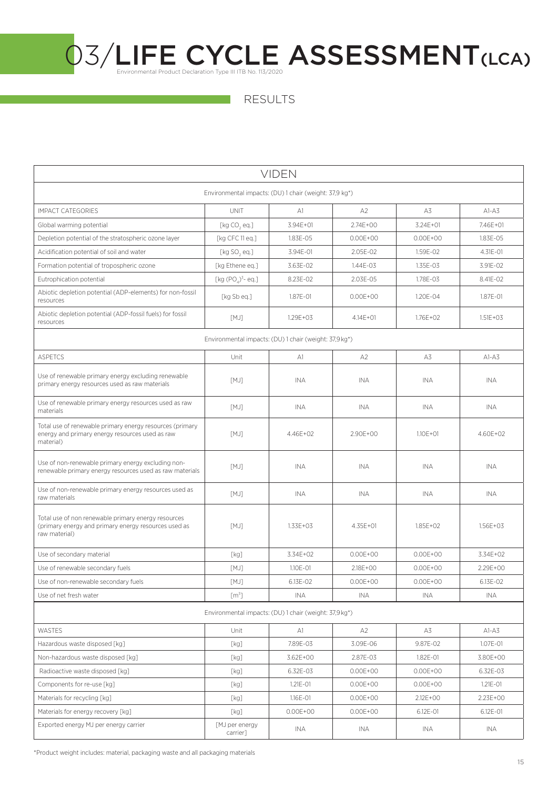RESULTS

| <b>VIDEN</b>                                                                                                                 |                                                        |              |                |              |              |  |  |
|------------------------------------------------------------------------------------------------------------------------------|--------------------------------------------------------|--------------|----------------|--------------|--------------|--|--|
| Environmental impacts: (DU) 1 chair (weight: 37,9 kg*)                                                                       |                                                        |              |                |              |              |  |  |
| <b>IMPACT CATEGORIES</b>                                                                                                     | <b>UNIT</b>                                            | A1           | A <sub>2</sub> | A3           | $A1-A3$      |  |  |
| Global warming potential                                                                                                     | [ $kg CO, eq.]$                                        | 3.94E+01     | $2.74E + 00$   | $3.24F + 01$ | 7.46E+01     |  |  |
| Depletion potential of the stratospheric ozone layer                                                                         | [kg CFC 11 eq.]                                        | 1.83E-05     | $0.00E + 00$   | $0.00E + 00$ | 1.83E-05     |  |  |
| Acidification potential of soil and water                                                                                    | [ $kg$ SO, eq.]                                        | 3.94E-01     | 2.05E-02       | 1.59E-02     | 4.31E-01     |  |  |
| Formation potential of tropospheric ozone                                                                                    | [kg Ethene eq.]                                        | 3.63E-02     | 1.44E-03       | 1.35E-03     | 3.91E-02     |  |  |
| Eutrophication potential                                                                                                     | [kg $(POA)3$ - eq.]                                    | 8.23E-02     | 2.03E-05       | 1.78E-03     | 8.41E-02     |  |  |
| Abiotic depletion potential (ADP-elements) for non-fossil<br>resources                                                       | [kg Sb eq.]                                            | 1.87E-01     | $0.00E + 00$   | 1.20E-04     | 1.87E-01     |  |  |
| Abiotic depletion potential (ADP-fossil fuels) for fossil<br>resources                                                       | [MJ]                                                   | $1.29E + 03$ | $4.14E + 01$   | $1.76E + 02$ | $1.51E + 03$ |  |  |
|                                                                                                                              | Environmental impacts: (DU) 1 chair (weight: 37,9 kg*) |              |                |              |              |  |  |
| <b>ASPETCS</b>                                                                                                               | Unit                                                   | A1           | A2             | A3           | $AI-AS$      |  |  |
| Use of renewable primary energy excluding renewable<br>primary energy resources used as raw materials                        | [MJ]                                                   | INA          | <b>INA</b>     | <b>INA</b>   | <b>INA</b>   |  |  |
| Use of renewable primary energy resources used as raw<br>materials                                                           | [MJ]                                                   | <b>INA</b>   | <b>INA</b>     | <b>INA</b>   | <b>INA</b>   |  |  |
| Total use of renewable primary energy resources (primary<br>energy and primary energy resources used as raw<br>material)     | [MJ]                                                   | 4.46E+02     | 2.90E+00       | $1.10F + 01$ | 4.60E+02     |  |  |
| Use of non-renewable primary energy excluding non-<br>renewable primary energy resources used as raw materials               | [MJ]                                                   | <b>INA</b>   | <b>INA</b>     | INA          | <b>INA</b>   |  |  |
| Use of non-renewable primary energy resources used as<br>raw materials                                                       | [MJ]                                                   | <b>INA</b>   | INA            | INA          | INA.         |  |  |
| Total use of non renewable primary energy resources<br>(primary energy and primary energy resources used as<br>raw material) | [MJ]                                                   | $1.33E + 03$ | 4.35E+01       | 1.85E+02     | $1.56E + 03$ |  |  |
| Use of secondary material                                                                                                    | [kg]                                                   | 3.34E+02     | $0.00E + 00$   | $0.00E + 00$ | 3.34E+02     |  |  |
| Use of renewable secondary fuels                                                                                             | [MJ]                                                   | 1.10E-01     | 2.18E+00       | $0.00E + 00$ | 2.29E+00     |  |  |
| Use of non-renewable secondary fuels                                                                                         | [MJ]                                                   | 6.13E-02     | $0.00E + 00$   | $0.00E + 00$ | 6.13F-02     |  |  |
| Use of net fresh water                                                                                                       | [m <sup>3</sup> ]                                      | INA          | <b>INA</b>     | <b>INA</b>   | INA          |  |  |
| Environmental impacts: (DU) 1 chair (weight: 37,9 kg*)                                                                       |                                                        |              |                |              |              |  |  |
| WASTES                                                                                                                       | Unit                                                   | A1           | A2             | A3           | $AI-AS$      |  |  |
| Hazardous waste disposed [kg]                                                                                                | [kg]                                                   | 7.89E-03     | 3.09E-06       | 9.87E-02     | 1.07E-01     |  |  |
| Non-hazardous waste disposed [kq]                                                                                            | [kg]                                                   | 3.62E+00     | 2.87E-03       | 1.82E-01     | 3.80E+00     |  |  |
| Radioactive waste disposed [kg]                                                                                              | [kg]                                                   | 6.32E-03     | $0.00E + 00$   | $0.00E + 00$ | 6.32E-03     |  |  |
| Components for re-use [kg]                                                                                                   | [kg]                                                   | 1.21E-01     | $0.00E + 00$   | $0.00E + 00$ | $1.21E - 01$ |  |  |
| Materials for recycling [kg]                                                                                                 | [kg]                                                   | 1.16E-01     | $0.00E + 00$   | 2.12E+00     | 2.23E+00     |  |  |
| Materials for energy recovery [kg]                                                                                           | [kg]                                                   | $0.00E + 00$ | $0.00E + 00$   | 6.12E-01     | 6.12E-01     |  |  |
| Exported energy MJ per energy carrier                                                                                        | [MJ per energy<br>carrier]                             | INA          | INA            | INA          | INA          |  |  |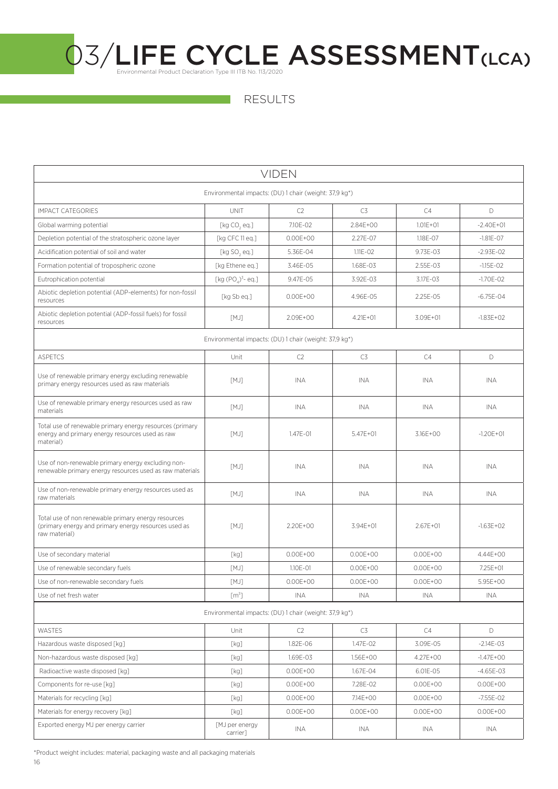RESULTS

| <b>VIDEN</b>                                                                                                                 |                                                                     |              |              |              |               |  |  |
|------------------------------------------------------------------------------------------------------------------------------|---------------------------------------------------------------------|--------------|--------------|--------------|---------------|--|--|
| Environmental impacts: (DU) 1 chair (weight: 37,9 kg*)                                                                       |                                                                     |              |              |              |               |  |  |
| <b>IMPACT CATEGORIES</b>                                                                                                     | <b>UNIT</b>                                                         | C2           | C3           | C4           | D.            |  |  |
| Global warming potential                                                                                                     | [kg CO, eq.]                                                        | 7.10E-02     | 2.84E+00     | $1.01E + 01$ | $-2.40E + 01$ |  |  |
| Depletion potential of the stratospheric ozone layer                                                                         | [kg CFC 11 eq.]                                                     | $0.00E + 00$ | 2.27E-07     | 1.18E-07     | $-1.81E - 07$ |  |  |
| Acidification potential of soil and water                                                                                    | [ $kg$ SO, eq.]                                                     | 5.36E-04     | $1.11E - 02$ | 9.73E-03     | $-2.93E - 02$ |  |  |
| Formation potential of tropospheric ozone                                                                                    | [kg Ethene eq.]                                                     | 3.46E-05     | 1.68E-03     | 2.55E-03     | $-1.15E - 02$ |  |  |
| Eutrophication potential                                                                                                     | [kg $(POA)3$ - eq.]                                                 | 9.47E-05     | 3.92E-03     | 3.17E-03     | $-1.70E - 02$ |  |  |
| Abiotic depletion potential (ADP-elements) for non-fossil<br>resources                                                       | [kg Sb eq.]                                                         | $0.00E + 00$ | 4.96E-05     | 2.25E-05     | $-6.75E - 04$ |  |  |
| Abiotic depletion potential (ADP-fossil fuels) for fossil<br>resources                                                       | [MJ]                                                                | 2.09E+00     | $4.21E + 01$ | 3.09E+01     | $-1.83E + 02$ |  |  |
|                                                                                                                              | Environmental impacts: (DU) 1 chair (weight: 37,9 kg <sup>*</sup> ) |              |              |              |               |  |  |
| <b>ASPETCS</b>                                                                                                               | Unit                                                                | C2           | C3           | C4           | D             |  |  |
| Use of renewable primary energy excluding renewable<br>primary energy resources used as raw materials                        | [MJ]                                                                | INA          | INA          | INA          | INA.          |  |  |
| Use of renewable primary energy resources used as raw<br>materials                                                           | [MJ]                                                                | INA          | INA          | INA          | INA           |  |  |
| Total use of renewable primary energy resources (primary<br>energy and primary energy resources used as raw<br>material)     | [MJ]                                                                | 1.47E-01     | $5.47E + 01$ | 3.16E+00     | $-1.20E + 01$ |  |  |
| Use of non-renewable primary energy excluding non-<br>renewable primary energy resources used as raw materials               | [MJ]                                                                | <b>INA</b>   | <b>INA</b>   | <b>INA</b>   | <b>INA</b>    |  |  |
| Use of non-renewable primary energy resources used as<br>raw materials                                                       | [MJ]                                                                | <b>INA</b>   | <b>INA</b>   | INA          | INA.          |  |  |
| Total use of non renewable primary energy resources<br>(primary energy and primary energy resources used as<br>raw material) | [MJ]                                                                | 2.20E+00     | 3.94E+01     | $2.67E + 01$ | $-1.63E + 02$ |  |  |
| Use of secondary material                                                                                                    | [kg]                                                                | $0.00E + 00$ | $0.00E + 00$ | $0.00E + 00$ | 4.44E+00      |  |  |
| Use of renewable secondary fuels                                                                                             | [MJ]                                                                | 1.10E-01     | $0.00E + 00$ | $0.00E + 00$ | 7.25E+01      |  |  |
| Use of non-renewable secondary fuels                                                                                         | [MJ]                                                                | $0.00E + 00$ | $0.00E + 00$ | $0.00E + 00$ | $5.95E + 00$  |  |  |
| Use of net fresh water                                                                                                       | [m <sup>3</sup> ]                                                   | INA          | INA          | INA          | INA           |  |  |
| Environmental impacts: (DU) 1 chair (weight: 37,9 kg*)                                                                       |                                                                     |              |              |              |               |  |  |
| WASTES                                                                                                                       | Unit                                                                | C2           | C3           | C4           | D             |  |  |
| Hazardous waste disposed [kg]                                                                                                | [kg]                                                                | 1.82E-06     | 1.47E-02     | 3.09E-05     | $-2.14E-03$   |  |  |
| Non-hazardous waste disposed [kg]                                                                                            | [kg]                                                                | 1.69E-03     | 1.56E+00     | 4.27E+00     | $-1.47E + 00$ |  |  |
| Radioactive waste disposed [kq]                                                                                              | [kg]                                                                | $0.00E + 00$ | 1.67E-04     | 6.01E-05     | $-4.65E - 03$ |  |  |
| Components for re-use [kg]                                                                                                   | [kg]                                                                | $0.00E + 00$ | 7.28E-02     | $0.00E + 00$ | $0.00E + 00$  |  |  |
| Materials for recycling [kg]                                                                                                 | [kg]                                                                | $0.00E + 00$ | 7.14E+00     | $0.00E + 00$ | $-7.55E - 02$ |  |  |
| Materials for energy recovery [kg]                                                                                           | [kg]                                                                | $0.00E + 00$ | $0.00E + 00$ | $0.00E + 00$ | $0.00E + 00$  |  |  |
| Exported energy MJ per energy carrier                                                                                        | [MJ per energy<br>carrier]                                          | INA          | INA          | INA          | INA           |  |  |

16 \*Product weight includes: material, packaging waste and all packaging materials